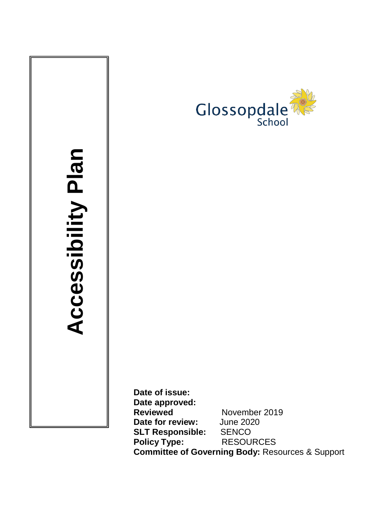

# **Acc ess ibility Plan**

**Date of issue: Date approved: Reviewed** November 2019 **Date for review:** June 2020 **SLT Responsible:** SENCO **Policy Type: Committee of Governing Body:** Resources & Support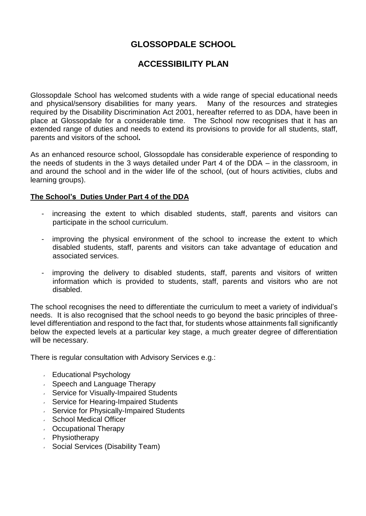### **GLOSSOPDALE SCHOOL**

### **ACCESSIBILITY PLAN**

Glossopdale School has welcomed students with a wide range of special educational needs and physical/sensory disabilities for many years. Many of the resources and strategies required by the Disability Discrimination Act 2001, hereafter referred to as DDA, have been in place at Glossopdale for a considerable time. The School now recognises that it has an extended range of duties and needs to extend its provisions to provide for all students, staff, parents and visitors of the school**.**

As an enhanced resource school, Glossopdale has considerable experience of responding to the needs of students in the 3 ways detailed under Part 4 of the DDA – in the classroom, in and around the school and in the wider life of the school, (out of hours activities, clubs and learning groups).

### **The School's Duties Under Part 4 of the DDA**

- increasing the extent to which disabled students, staff, parents and visitors can participate in the school curriculum.
- improving the physical environment of the school to increase the extent to which disabled students, staff, parents and visitors can take advantage of education and associated services.
- improving the delivery to disabled students, staff, parents and visitors of written information which is provided to students, staff, parents and visitors who are not disabled.

The school recognises the need to differentiate the curriculum to meet a variety of individual's needs. It is also recognised that the school needs to go beyond the basic principles of threelevel differentiation and respond to the fact that, for students whose attainments fall significantly below the expected levels at a particular key stage, a much greater degree of differentiation will be necessary.

There is regular consultation with Advisory Services e.g.:

- Educational Psychology
- Speech and Language Therapy
- **Service for Visually-Impaired Students**
- **Service for Hearing-Impaired Students**
- **Service for Physically-Impaired Students**
- ↓ School Medical Officer
- Occupational Therapy
- Physiotherapy
- **Social Services (Disability Team)**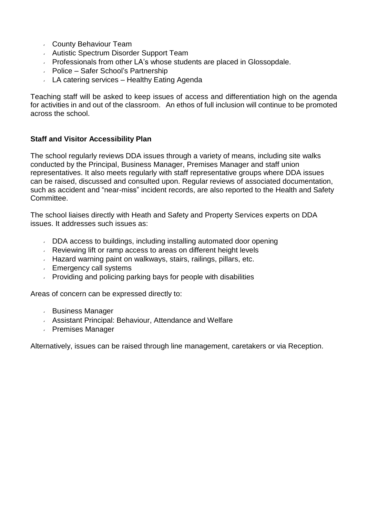- County Behaviour Team
- Autistic Spectrum Disorder Support Team
- **Professionals from other LA's whose students are placed in Glossopdale.**
- Police Safer School's Partnership
- $\sim$  LA catering services Healthy Eating Agenda

Teaching staff will be asked to keep issues of access and differentiation high on the agenda for activities in and out of the classroom. An ethos of full inclusion will continue to be promoted across the school.

### **Staff and Visitor Accessibility Plan**

The school regularly reviews DDA issues through a variety of means, including site walks conducted by the Principal, Business Manager, Premises Manager and staff union representatives. It also meets regularly with staff representative groups where DDA issues can be raised, discussed and consulted upon. Regular reviews of associated documentation, such as accident and "near-miss" incident records, are also reported to the Health and Safety Committee.

The school liaises directly with Heath and Safety and Property Services experts on DDA issues. It addresses such issues as:

- DDA access to buildings, including installing automated door opening
- **Reviewing lift or ramp access to areas on different height levels**
- Hazard warning paint on walkways, stairs, railings, pillars, etc.
- **Emergency call systems**
- Providing and policing parking bays for people with disabilities

Areas of concern can be expressed directly to:

- Business Manager
- Assistant Principal: Behaviour, Attendance and Welfare
- Premises Manager

Alternatively, issues can be raised through line management, caretakers or via Reception.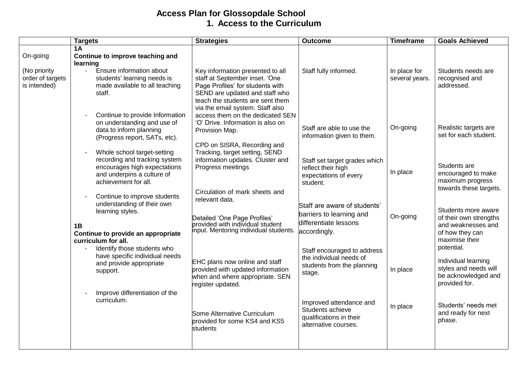### **Access Plan for Glossopdale School 1. Access to the Curriculum**

|                                                  | <b>Targets</b>                                                                                                                                     | <b>Strategies</b>                                                                                                                                                                                                | <b>Outcome</b>                                                                                    | <b>Timeframe</b>               | <b>Goals Achieved</b>                                                                                    |
|--------------------------------------------------|----------------------------------------------------------------------------------------------------------------------------------------------------|------------------------------------------------------------------------------------------------------------------------------------------------------------------------------------------------------------------|---------------------------------------------------------------------------------------------------|--------------------------------|----------------------------------------------------------------------------------------------------------|
| On-going                                         | 1A<br>Continue to improve teaching and<br>learning                                                                                                 |                                                                                                                                                                                                                  |                                                                                                   |                                |                                                                                                          |
| (No priority<br>order of targets<br>is intended) | Ensure information about<br>$\mathbf{r}$<br>students' learning needs is<br>made available to all teaching<br>staff.                                | Key information presented to all<br>staff at September inset. 'One<br>Page Profiles' for students with<br>SEND are updated and staff who<br>teach the students are sent them<br>via the email system. Staff also | Staff fully informed.                                                                             | In place for<br>several years. | Students needs are<br>recognised and<br>addressed.                                                       |
|                                                  | Continue to provide Information<br>on understanding and use of<br>data to inform planning<br>(Progress report, SATs, etc).                         | access them on the dedicated SEN<br>'O' Drive. Information is also on<br>Provision Map.                                                                                                                          | Staff are able to use the<br>information given to them.                                           | On-going                       | Realistic targets are<br>set for each student.                                                           |
|                                                  | Whole school target-setting<br>recording and tracking system<br>encourages high expectations<br>and underpins a culture of<br>achievement for all. | CPD on SISRA, Recording and<br>Tracking, target setting, SEND<br>information updates. Cluster and<br>Progress meetings                                                                                           | Staff set target grades which<br>reflect their high<br>expectations of every<br>student.          | In place                       | Students are<br>encouraged to make<br>maximum progress<br>towards these targets.                         |
|                                                  | Continue to improve students<br>understanding of their own<br>learning styles.<br>1B<br>Continue to provide an appropriate<br>curriculum for all.  | Circulation of mark sheets and<br>relevant data.<br>Detailed 'One Page Profiles'<br>provided with individual student<br>input. Mentoring individual students.                                                    | Staff are aware of students'<br>barriers to learning and<br>differentiate lessons<br>accordingly. | On-going                       | Students more aware<br>of their own strengths<br>and weaknesses and<br>of how they can<br>maximise their |
|                                                  | Identify those students who<br>$\sim$<br>have specific individual needs<br>and provide appropriate<br>support.                                     | <b>EHC</b> plans now online and staff<br>provided with updated information<br>when and where appropriate. SEN<br>register updated.                                                                               | Staff encouraged to address<br>the individual needs of<br>students from the planning<br>stage.    | In place                       | potential.<br>Individual learning<br>styles and needs will<br>be acknowledged and<br>provided for.       |
|                                                  | Improve differentiation of the<br>curriculum.                                                                                                      | Some Alternative Curriculum<br>provided for some KS4 and KS5<br>students                                                                                                                                         | Improved attendance and<br>Students achieve<br>qualifications in their<br>alternative courses.    | In place                       | Students' needs met<br>and ready for next<br>phase.                                                      |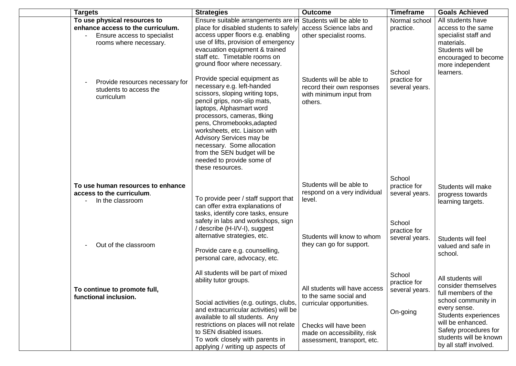| <b>Targets</b>                                                                                                             | <b>Strategies</b>                                                                                                                                                                                                                                                                                                                                                                                 | <b>Outcome</b>                                                                                                                                                              | <b>Timeframe</b>                                     | <b>Goals Achieved</b>                                                                                                                                                                                                            |
|----------------------------------------------------------------------------------------------------------------------------|---------------------------------------------------------------------------------------------------------------------------------------------------------------------------------------------------------------------------------------------------------------------------------------------------------------------------------------------------------------------------------------------------|-----------------------------------------------------------------------------------------------------------------------------------------------------------------------------|------------------------------------------------------|----------------------------------------------------------------------------------------------------------------------------------------------------------------------------------------------------------------------------------|
| To use physical resources to<br>enhance access to the curriculum.<br>Ensure access to specialist<br>rooms where necessary. | Ensure suitable arrangements are in<br>place for disabled students to safely<br>access upper floors e.g. enabling<br>use of lifts, provision of emergency<br>evacuation equipment & trained<br>staff etc. Timetable rooms on<br>ground floor where necessary.                                                                                                                                     | Students will be able to<br>access Science labs and<br>other specialist rooms.                                                                                              | Normal school<br>practice.<br>School                 | All students have<br>access to the same<br>specialist staff and<br>materials.<br>Students will be<br>encouraged to become<br>more independent<br>learners.                                                                       |
| Provide resources necessary for<br>students to access the<br>curriculum                                                    | Provide special equipment as<br>necessary e.g. left-handed<br>scissors, sloping writing tops,<br>pencil grips, non-slip mats,<br>laptops, Alphasmart word<br>processors, cameras, tlking<br>pens, Chromebooks, adapted<br>worksheets, etc. Liaison with<br>Advisory Services may be<br>necessary. Some allocation<br>from the SEN budget will be<br>needed to provide some of<br>these resources. | Students will be able to<br>record their own responses<br>with minimum input from<br>others.                                                                                | practice for<br>several years.                       |                                                                                                                                                                                                                                  |
| To use human resources to enhance<br>access to the curriculum.<br>In the classroom                                         | To provide peer / staff support that<br>can offer extra explanations of<br>tasks, identify core tasks, ensure                                                                                                                                                                                                                                                                                     | Students will be able to<br>respond on a very individual<br>level.                                                                                                          | School<br>practice for<br>several years.             | Students will make<br>progress towards<br>learning targets.                                                                                                                                                                      |
| Out of the classroom                                                                                                       | safety in labs and workshops, sign<br>/ describe (H-I/V-I), suggest<br>alternative strategies, etc.<br>Provide care e.g. counselling,<br>personal care, advocacy, etc.                                                                                                                                                                                                                            | Students will know to whom<br>they can go for support.                                                                                                                      | School<br>practice for<br>several years.             | Students will feel<br>valued and safe in<br>school.                                                                                                                                                                              |
| To continue to promote full,<br>functional inclusion.                                                                      | All students will be part of mixed<br>ability tutor groups.<br>Social activities (e.g. outings, clubs,<br>and extracurricular activities) will be<br>available to all students. Any<br>restrictions on places will not relate<br>to SEN disabled issues.<br>To work closely with parents in<br>applying / writing up aspects of                                                                   | All students will have access<br>to the same social and<br>curricular opportunities.<br>Checks will have been<br>made on accessibility, risk<br>assessment, transport, etc. | School<br>practice for<br>several years.<br>On-going | All students will<br>consider themselves<br>full members of the<br>school community in<br>every sense.<br>Students experiences<br>will be enhanced.<br>Safety procedures for<br>students will be known<br>by all staff involved. |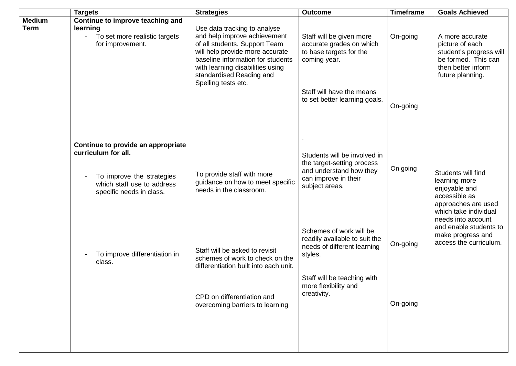|                              | <b>Targets</b>                                                                                                                                   | <b>Strategies</b>                                                                                                                                                                                                                                            | <b>Outcome</b>                                                                                                                                                           | <b>Timeframe</b>     | <b>Goals Achieved</b>                                                                                                          |
|------------------------------|--------------------------------------------------------------------------------------------------------------------------------------------------|--------------------------------------------------------------------------------------------------------------------------------------------------------------------------------------------------------------------------------------------------------------|--------------------------------------------------------------------------------------------------------------------------------------------------------------------------|----------------------|--------------------------------------------------------------------------------------------------------------------------------|
| <b>Medium</b><br><b>Term</b> | Continue to improve teaching and<br>learning<br>- To set more realistic targets<br>for improvement.                                              | Use data tracking to analyse<br>and help improve achievement<br>of all students. Support Team<br>will help provide more accurate<br>baseline information for students<br>with learning disabilities using<br>standardised Reading and<br>Spelling tests etc. | Staff will be given more<br>accurate grades on which<br>to base targets for the<br>coming year.<br>Staff will have the means<br>to set better learning goals.            | On-going<br>On-going | A more accurate<br>picture of each<br>student's progress will<br>be formed. This can<br>then better inform<br>future planning. |
|                              | Continue to provide an appropriate<br>curriculum for all.<br>To improve the strategies<br>which staff use to address<br>specific needs in class. | To provide staff with more<br>guidance on how to meet specific<br>needs in the classroom.                                                                                                                                                                    | Students will be involved in<br>the target-setting process<br>and understand how they<br>can improve in their<br>subject areas.                                          | On going             | Students will find<br>learning more<br>enjoyable and<br>accessible as<br>approaches are used<br>which take individual          |
|                              | To improve differentiation in<br>class.                                                                                                          | Staff will be asked to revisit<br>schemes of work to check on the<br>differentiation built into each unit.<br>CPD on differentiation and<br>overcoming barriers to learning                                                                                  | Schemes of work will be<br>readily available to suit the<br>needs of different learning<br>styles.<br>Staff will be teaching with<br>more flexibility and<br>creativity. | On-going<br>On-going | needs into account<br>and enable students to<br>make progress and<br>access the curriculum.                                    |
|                              |                                                                                                                                                  |                                                                                                                                                                                                                                                              |                                                                                                                                                                          |                      |                                                                                                                                |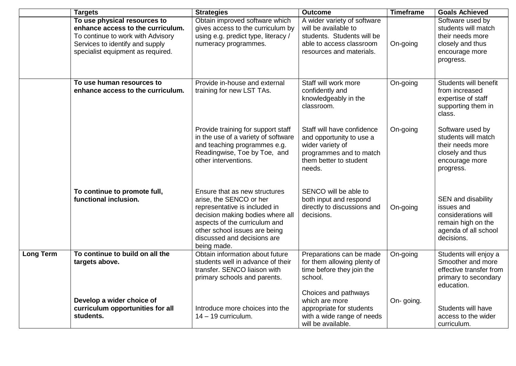|                  | <b>Targets</b>                                                                                                                                                                 | <b>Strategies</b>                                                                                                                                                                                                                             | <b>Outcome</b>                                                                                                                            | <b>Timeframe</b> | <b>Goals Achieved</b>                                                                                               |
|------------------|--------------------------------------------------------------------------------------------------------------------------------------------------------------------------------|-----------------------------------------------------------------------------------------------------------------------------------------------------------------------------------------------------------------------------------------------|-------------------------------------------------------------------------------------------------------------------------------------------|------------------|---------------------------------------------------------------------------------------------------------------------|
|                  | To use physical resources to<br>enhance access to the curriculum.<br>To continue to work with Advisory<br>Services to identify and supply<br>specialist equipment as required. | Obtain improved software which<br>gives access to the curriculum by<br>using e.g. predict type, literacy /<br>numeracy programmes.                                                                                                            | A wider variety of software<br>will be available to<br>students. Students will be<br>able to access classroom<br>resources and materials. | On-going         | Software used by<br>students will match<br>their needs more<br>closely and thus<br>encourage more<br>progress.      |
|                  | To use human resources to<br>enhance access to the curriculum.                                                                                                                 | Provide in-house and external<br>training for new LST TAs.                                                                                                                                                                                    | Staff will work more<br>confidently and<br>knowledgeably in the<br>classroom.                                                             | On-going         | Students will benefit<br>from increased<br>expertise of staff<br>supporting them in<br>class.                       |
|                  |                                                                                                                                                                                | Provide training for support staff<br>in the use of a variety of software<br>and teaching programmes e.g.<br>Readingwise, Toe by Toe, and<br>other interventions.                                                                             | Staff will have confidence<br>and opportunity to use a<br>wider variety of<br>programmes and to match<br>them better to student<br>needs. | On-going         | Software used by<br>students will match<br>their needs more<br>closely and thus<br>encourage more<br>progress.      |
|                  | To continue to promote full,<br>functional inclusion.                                                                                                                          | Ensure that as new structures<br>arise, the SENCO or her<br>representative is included in<br>decision making bodies where all<br>aspects of the curriculum and<br>other school issues are being<br>discussed and decisions are<br>being made. | SENCO will be able to<br>both input and respond<br>directly to discussions and<br>decisions.                                              | On-going         | SEN and disability<br>issues and<br>considerations will<br>remain high on the<br>agenda of all school<br>decisions. |
| <b>Long Term</b> | To continue to build on all the<br>targets above.                                                                                                                              | Obtain information about future<br>students well in advance of their<br>transfer. SENCO liaison with<br>primary schools and parents.                                                                                                          | Preparations can be made<br>for them allowing plenty of<br>time before they join the<br>school.                                           | On-going         | Students will enjoy a<br>Smoother and more<br>effective transfer from<br>primary to secondary<br>education.         |
|                  | Develop a wider choice of<br>curriculum opportunities for all<br>students.                                                                                                     | Introduce more choices into the<br>$14 - 19$ curriculum.                                                                                                                                                                                      | Choices and pathways<br>which are more<br>appropriate for students<br>with a wide range of needs<br>will be available.                    | On-going.        | Students will have<br>access to the wider<br>curriculum.                                                            |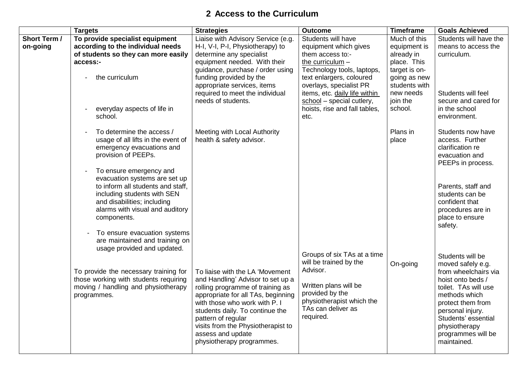# **2 Access to the Curriculum**

|                                 | <b>Targets</b>                                                                                                                                                                                                                                                                                                                                                                                           | <b>Strategies</b>                                                                                                                                                                                                                                                                                                                | <b>Outcome</b>                                                                                                                                                                                                                                                                                            | <b>Timeframe</b>                                                                                                                                | <b>Goals Achieved</b>                                                                                                                                                                                                                             |
|---------------------------------|----------------------------------------------------------------------------------------------------------------------------------------------------------------------------------------------------------------------------------------------------------------------------------------------------------------------------------------------------------------------------------------------------------|----------------------------------------------------------------------------------------------------------------------------------------------------------------------------------------------------------------------------------------------------------------------------------------------------------------------------------|-----------------------------------------------------------------------------------------------------------------------------------------------------------------------------------------------------------------------------------------------------------------------------------------------------------|-------------------------------------------------------------------------------------------------------------------------------------------------|---------------------------------------------------------------------------------------------------------------------------------------------------------------------------------------------------------------------------------------------------|
| <b>Short Term /</b><br>on-going | To provide specialist equipment<br>according to the individual needs<br>of students so they can more easily<br>access:-<br>the curriculum<br>everyday aspects of life in<br>school.                                                                                                                                                                                                                      | Liaise with Advisory Service (e.g.<br>H-I, V-I, P-I, Physiotherapy) to<br>determine any specialist<br>equipment needed. With their<br>guidance, purchase / order using<br>funding provided by the<br>appropriate services, items<br>required to meet the individual<br>needs of students.                                        | Students will have<br>equipment which gives<br>them access to:-<br>the curriculum -<br>Technology tools, laptops,<br>text enlargers, coloured<br>overlays, specialist PR<br>items, etc. daily life within<br>$\frac{\text{school}}{\text{=}}$ = special cutlery,<br>hoists, rise and fall tables,<br>etc. | Much of this<br>equipment is<br>already in<br>place. This<br>target is on-<br>going as new<br>students with<br>new needs<br>join the<br>school. | Students will have the<br>means to access the<br>curriculum.<br>Students will feel<br>secure and cared for<br>in the school<br>environment.                                                                                                       |
|                                 | To determine the access /<br>usage of all lifts in the event of<br>emergency evacuations and<br>provision of PEEPs.<br>To ensure emergency and<br>evacuation systems are set up<br>to inform all students and staff,<br>including students with SEN<br>and disabilities; including<br>alarms with visual and auditory<br>components.<br>- To ensure evacuation systems<br>are maintained and training on | Meeting with Local Authority<br>health & safety advisor.                                                                                                                                                                                                                                                                         |                                                                                                                                                                                                                                                                                                           | Plans in<br>place                                                                                                                               | Students now have<br>access. Further<br>clarification re<br>evacuation and<br>PEEPs in process.<br>Parents, staff and<br>students can be<br>confident that<br>procedures are in<br>place to ensure<br>safety.                                     |
|                                 | usage provided and updated.<br>To provide the necessary training for<br>those working with students requiring<br>moving / handling and physiotherapy<br>programmes.                                                                                                                                                                                                                                      | To liaise with the LA 'Movement<br>and Handling' Advisor to set up a<br>rolling programme of training as<br>appropriate for all TAs, beginning<br>with those who work with P. I<br>students daily. To continue the<br>pattern of regular<br>visits from the Physiotherapist to<br>assess and update<br>physiotherapy programmes. | Groups of six TAs at a time<br>will be trained by the<br>Advisor.<br>Written plans will be<br>provided by the<br>physiotherapist which the<br>TAs can deliver as<br>required.                                                                                                                             | On-going                                                                                                                                        | Students will be<br>moved safely e.g.<br>from wheelchairs via<br>hoist onto beds /<br>toilet. TAs will use<br>methods which<br>protect them from<br>personal injury.<br>Students' essential<br>physiotherapy<br>programmes will be<br>maintained. |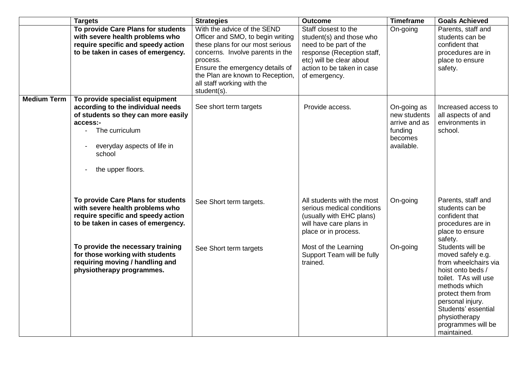|                    | <b>Targets</b>                                                                                                                                                                                                                                                                            | <b>Strategies</b>                                                                                                                                                                                                                                                        | <b>Outcome</b>                                                                                                                                                                                            | <b>Timeframe</b>                                                                 | <b>Goals Achieved</b>                                                                                                                                                                                                                                                              |
|--------------------|-------------------------------------------------------------------------------------------------------------------------------------------------------------------------------------------------------------------------------------------------------------------------------------------|--------------------------------------------------------------------------------------------------------------------------------------------------------------------------------------------------------------------------------------------------------------------------|-----------------------------------------------------------------------------------------------------------------------------------------------------------------------------------------------------------|----------------------------------------------------------------------------------|------------------------------------------------------------------------------------------------------------------------------------------------------------------------------------------------------------------------------------------------------------------------------------|
|                    | To provide Care Plans for students<br>with severe health problems who<br>require specific and speedy action<br>to be taken in cases of emergency.                                                                                                                                         | With the advice of the SEND<br>Officer and SMO, to begin writing<br>these plans for our most serious<br>concerns. Involve parents in the<br>process.<br>Ensure the emergency details of<br>the Plan are known to Reception,<br>all staff working with the<br>student(s). | Staff closest to the<br>student(s) and those who<br>need to be part of the<br>response (Reception staff,<br>etc) will be clear about<br>action to be taken in case<br>of emergency.                       | On-going                                                                         | Parents, staff and<br>students can be<br>confident that<br>procedures are in<br>place to ensure<br>safety.                                                                                                                                                                         |
| <b>Medium Term</b> | To provide specialist equipment<br>according to the individual needs<br>of students so they can more easily<br>access:-<br>- The curriculum<br>everyday aspects of life in<br>school<br>the upper floors.                                                                                 | See short term targets                                                                                                                                                                                                                                                   | Provide access.                                                                                                                                                                                           | On-going as<br>new students<br>arrive and as<br>funding<br>becomes<br>available. | Increased access to<br>all aspects of and<br>environments in<br>school.                                                                                                                                                                                                            |
|                    | To provide Care Plans for students<br>with severe health problems who<br>require specific and speedy action<br>to be taken in cases of emergency.<br>To provide the necessary training<br>for those working with students<br>requiring moving / handling and<br>physiotherapy programmes. | See Short term targets.<br>See Short term targets                                                                                                                                                                                                                        | All students with the most<br>serious medical conditions<br>(usually with EHC plans)<br>will have care plans in<br>place or in process.<br>Most of the Learning<br>Support Team will be fully<br>trained. | On-going<br>On-going                                                             | Parents, staff and<br>students can be<br>confident that<br>procedures are in<br>place to ensure<br>safety.<br>Students will be<br>moved safely e.g.<br>from wheelchairs via<br>hoist onto beds /<br>toilet. TAs will use<br>methods which<br>protect them from<br>personal injury. |
|                    |                                                                                                                                                                                                                                                                                           |                                                                                                                                                                                                                                                                          |                                                                                                                                                                                                           |                                                                                  | Students' essential<br>physiotherapy<br>programmes will be<br>maintained.                                                                                                                                                                                                          |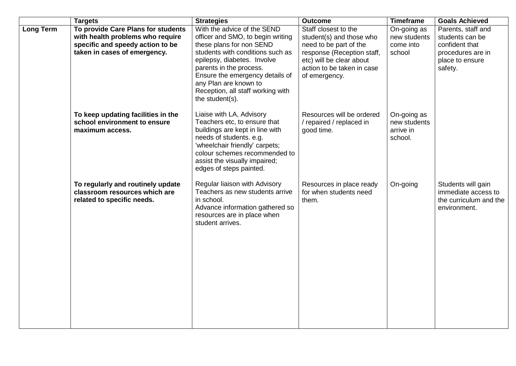|                  | <b>Targets</b>                                                                                                                             | <b>Strategies</b>                                                                                                                                                                                                                                                                                              | <b>Outcome</b>                                                                                                                                                                      | <b>Timeframe</b>                                    | <b>Goals Achieved</b>                                                                                      |
|------------------|--------------------------------------------------------------------------------------------------------------------------------------------|----------------------------------------------------------------------------------------------------------------------------------------------------------------------------------------------------------------------------------------------------------------------------------------------------------------|-------------------------------------------------------------------------------------------------------------------------------------------------------------------------------------|-----------------------------------------------------|------------------------------------------------------------------------------------------------------------|
| <b>Long Term</b> | To provide Care Plans for students<br>with health problems who require<br>specific and speedy action to be<br>taken in cases of emergency. | With the advice of the SEND<br>officer and SMO, to begin writing<br>these plans for non SEND<br>students with conditions such as<br>epilepsy, diabetes. Involve<br>parents in the process.<br>Ensure the emergency details of<br>any Plan are known to<br>Reception, all staff working with<br>the student(s). | Staff closest to the<br>student(s) and those who<br>need to be part of the<br>response (Reception staff,<br>etc) will be clear about<br>action to be taken in case<br>of emergency. | On-going as<br>new students<br>come into<br>school  | Parents, staff and<br>students can be<br>confident that<br>procedures are in<br>place to ensure<br>safety. |
|                  | To keep updating facilities in the<br>school environment to ensure<br>maximum access.                                                      | Liaise with LA, Advisory<br>Teachers etc, to ensure that<br>buildings are kept in line with<br>needs of students. e.g.<br>'wheelchair friendly' carpets;<br>colour schemes recommended to<br>assist the visually impaired;<br>edges of steps painted.                                                          | Resources will be ordered<br>/ repaired / replaced in<br>good time.                                                                                                                 | On-going as<br>new students<br>arrive in<br>school. |                                                                                                            |
|                  | To regularly and routinely update<br>classroom resources which are<br>related to specific needs.                                           | Regular liaison with Advisory<br>Teachers as new students arrive<br>in school.<br>Advance information gathered so<br>resources are in place when<br>student arrives.                                                                                                                                           | Resources in place ready<br>for when students need<br>them.                                                                                                                         | On-going                                            | Students will gain<br>immediate access to<br>the curriculum and the<br>environment.                        |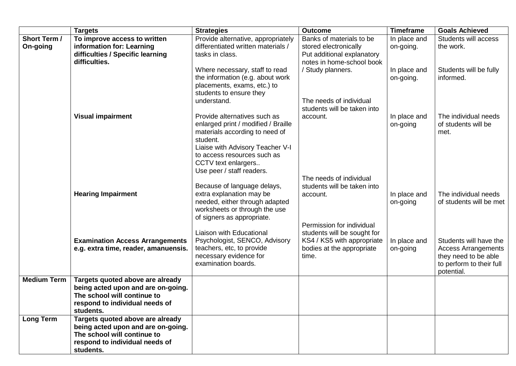|                                 | <b>Targets</b>                                                                                                                                       | <b>Strategies</b>                                                                                                                                                                                           | <b>Outcome</b>                                                                                                               | <b>Timeframe</b>          | <b>Goals Achieved</b>                                                                                                  |
|---------------------------------|------------------------------------------------------------------------------------------------------------------------------------------------------|-------------------------------------------------------------------------------------------------------------------------------------------------------------------------------------------------------------|------------------------------------------------------------------------------------------------------------------------------|---------------------------|------------------------------------------------------------------------------------------------------------------------|
| <b>Short Term /</b><br>On-going | To improve access to written<br>information for: Learning<br>difficulties / Specific learning<br>difficulties.                                       | Provide alternative, appropriately<br>differentiated written materials /<br>tasks in class.                                                                                                                 | Banks of materials to be<br>stored electronically<br>Put additional explanatory<br>notes in home-school book                 | In place and<br>on-going. | Students will access<br>the work.                                                                                      |
|                                 |                                                                                                                                                      | Where necessary, staff to read<br>the information (e.g. about work<br>placements, exams, etc.) to<br>students to ensure they                                                                                | / Study planners.                                                                                                            | In place and<br>on-going. | Students will be fully<br>informed.                                                                                    |
|                                 |                                                                                                                                                      | understand.                                                                                                                                                                                                 | The needs of individual<br>students will be taken into                                                                       |                           |                                                                                                                        |
|                                 | <b>Visual impairment</b>                                                                                                                             | Provide alternatives such as<br>enlarged print / modified / Braille<br>materials according to need of<br>student.<br>Liaise with Advisory Teacher V-I<br>to access resources such as<br>CCTV text enlargers | account.                                                                                                                     | In place and<br>on-going  | The individual needs<br>of students will be<br>met.                                                                    |
|                                 | <b>Hearing Impairment</b>                                                                                                                            | Use peer / staff readers.<br>Because of language delays,<br>extra explanation may be<br>needed, either through adapted<br>worksheets or through the use<br>of signers as appropriate.                       | The needs of individual<br>students will be taken into<br>account.                                                           | In place and<br>on-going  | The individual needs<br>of students will be met                                                                        |
|                                 | <b>Examination Access Arrangements</b><br>e.g. extra time, reader, amanuensis.                                                                       | <b>Liaison with Educational</b><br>Psychologist, SENCO, Advisory<br>teachers, etc, to provide<br>necessary evidence for<br>examination boards.                                                              | Permission for individual<br>students will be sought for<br>KS4 / KS5 with appropriate<br>bodies at the appropriate<br>time. | In place and<br>on-going  | Students will have the<br><b>Access Arrangements</b><br>they need to be able<br>to perform to their full<br>potential. |
| <b>Medium Term</b>              | Targets quoted above are already<br>being acted upon and are on-going.<br>The school will continue to<br>respond to individual needs of<br>students. |                                                                                                                                                                                                             |                                                                                                                              |                           |                                                                                                                        |
| <b>Long Term</b>                | Targets quoted above are already<br>being acted upon and are on-going.<br>The school will continue to<br>respond to individual needs of<br>students. |                                                                                                                                                                                                             |                                                                                                                              |                           |                                                                                                                        |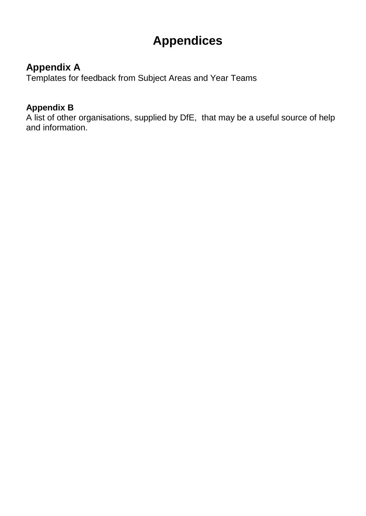# **Appendices**

# **Appendix A**

Templates for feedback from Subject Areas and Year Teams

# **Appendix B**

A list of other organisations, supplied by DfE, that may be a useful source of help and information.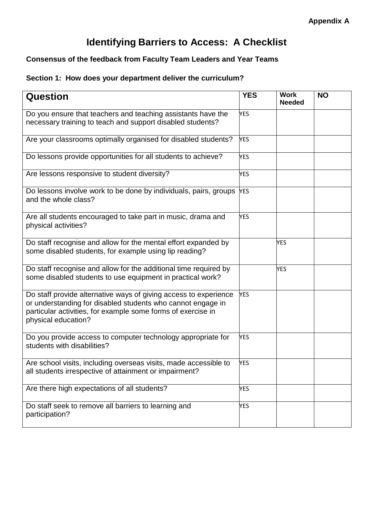# **Identifying Barriers to Access: A Checklist**

### **Consensus of the feedback from Faculty Team Leaders and Year Teams**

### **Section 1: How does your department deliver the curriculum?**

| <b>Question</b>                                                                                                                                                                                                        | <b>YES</b> | <b>Work</b><br><b>Needed</b> | <b>NO</b> |
|------------------------------------------------------------------------------------------------------------------------------------------------------------------------------------------------------------------------|------------|------------------------------|-----------|
| Do you ensure that teachers and teaching assistants have the<br>necessary training to teach and support disabled students?                                                                                             | <b>YES</b> |                              |           |
| Are your classrooms optimally organised for disabled students?                                                                                                                                                         | <b>YES</b> |                              |           |
| Do lessons provide opportunities for all students to achieve?                                                                                                                                                          | <b>YES</b> |                              |           |
| Are lessons responsive to student diversity?                                                                                                                                                                           | <b>YES</b> |                              |           |
| Do lessons involve work to be done by individuals, pairs, groups YES<br>and the whole class?                                                                                                                           |            |                              |           |
| Are all students encouraged to take part in music, drama and<br>physical activities?                                                                                                                                   | <b>YES</b> |                              |           |
| Do staff recognise and allow for the mental effort expanded by<br>some disabled students, for example using lip reading?                                                                                               |            | <b>YES</b>                   |           |
| Do staff recognise and allow for the additional time required by<br>some disabled students to use equipment in practical work?                                                                                         |            | <b>YES</b>                   |           |
| Do staff provide alternative ways of giving access to experience<br>or understanding for disabled students who cannot engage in<br>particular activities, for example some forms of exercise in<br>physical education? | <b>YES</b> |                              |           |
| Do you provide access to computer technology appropriate for<br>students with disabilities?                                                                                                                            | <b>YES</b> |                              |           |
| Are school visits, including overseas visits, made accessible to<br>all students irrespective of attainment or impairment?                                                                                             | <b>YES</b> |                              |           |
| Are there high expectations of all students?                                                                                                                                                                           | <b>YES</b> |                              |           |
| Do staff seek to remove all barriers to learning and<br>participation?                                                                                                                                                 | <b>YES</b> |                              |           |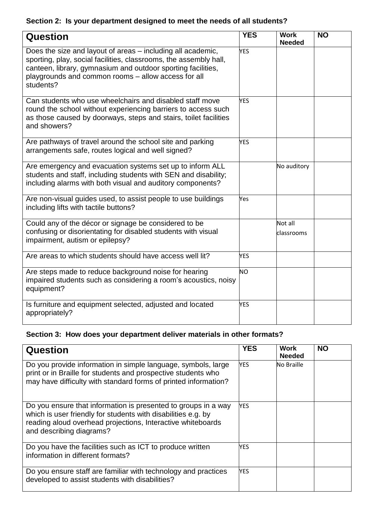# **Section 2: Is your department designed to meet the needs of all students?**

| <b>Question</b>                                                                                                                                                                                                                                                      | <b>YES</b> | <b>Work</b><br><b>Needed</b> | <b>NO</b> |
|----------------------------------------------------------------------------------------------------------------------------------------------------------------------------------------------------------------------------------------------------------------------|------------|------------------------------|-----------|
| Does the size and layout of areas – including all academic,<br>sporting, play, social facilities, classrooms, the assembly hall,<br>canteen, library, gymnasium and outdoor sporting facilities,<br>playgrounds and common rooms - allow access for all<br>students? | <b>YES</b> |                              |           |
| Can students who use wheelchairs and disabled staff move<br>round the school without experiencing barriers to access such<br>as those caused by doorways, steps and stairs, toilet facilities<br>and showers?                                                        | <b>YES</b> |                              |           |
| Are pathways of travel around the school site and parking<br>arrangements safe, routes logical and well signed?                                                                                                                                                      | <b>YES</b> |                              |           |
| Are emergency and evacuation systems set up to inform ALL<br>students and staff, including students with SEN and disability;<br>including alarms with both visual and auditory components?                                                                           |            | No auditory                  |           |
| Are non-visual guides used, to assist people to use buildings<br>including lifts with tactile buttons?                                                                                                                                                               | Yes        |                              |           |
| Could any of the décor or signage be considered to be<br>confusing or disorientating for disabled students with visual<br>impairment, autism or epilepsy?                                                                                                            |            | Not all<br>classrooms        |           |
| Are areas to which students should have access well lit?                                                                                                                                                                                                             | <b>YES</b> |                              |           |
| Are steps made to reduce background noise for hearing<br>impaired students such as considering a room's acoustics, noisy<br>equipment?                                                                                                                               | <b>NO</b>  |                              |           |
| Is furniture and equipment selected, adjusted and located<br>appropriately?                                                                                                                                                                                          | <b>YES</b> |                              |           |

# **Section 3: How does your department deliver materials in other formats?**

| <b>Question</b>                                                                                                                                                                                                            | <b>YES</b> | Work<br><b>Needed</b> | <b>NO</b> |
|----------------------------------------------------------------------------------------------------------------------------------------------------------------------------------------------------------------------------|------------|-----------------------|-----------|
| Do you provide information in simple language, symbols, large<br>print or in Braille for students and prospective students who<br>may have difficulty with standard forms of printed information?                          | <b>YES</b> | No Braille            |           |
| Do you ensure that information is presented to groups in a way<br>which is user friendly for students with disabilities e.g. by<br>reading aloud overhead projections, Interactive whiteboards<br>and describing diagrams? | <b>YES</b> |                       |           |
| Do you have the facilities such as ICT to produce written<br>information in different formats?                                                                                                                             | <b>YES</b> |                       |           |
| Do you ensure staff are familiar with technology and practices<br>developed to assist students with disabilities?                                                                                                          | YES        |                       |           |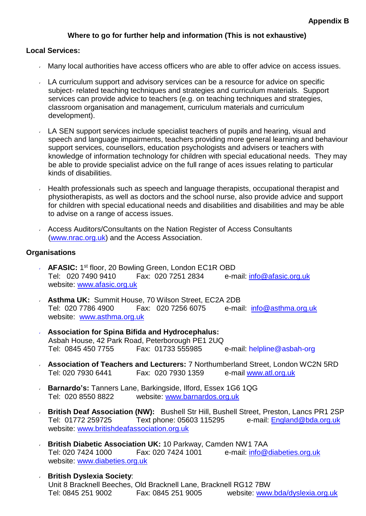### **Where to go for further help and information (This is not exhaustive)**

### **Local Services:**

- Many local authorities have access officers who are able to offer advice on access issues.
- LA curriculum support and advisory services can be a resource for advice on specific subject- related teaching techniques and strategies and curriculum materials. Support services can provide advice to teachers (e.g. on teaching techniques and strategies, classroom organisation and management, curriculum materials and curriculum development).
- LA SEN support services include specialist teachers of pupils and hearing, visual and speech and language impairments, teachers providing more general learning and behaviour support services, counsellors, education psychologists and advisers or teachers with knowledge of information technology for children with special educational needs. They may be able to provide specialist advice on the full range of aces issues relating to particular kinds of disabilities.
- Health professionals such as speech and language therapists, occupational therapist and physiotherapists, as well as doctors and the school nurse, also provide advice and support for children with special educational needs and disabilities and disabilities and may be able to advise on a range of access issues.
- Access Auditors/Consultants on the Nation Register of Access Consultants [\(www.nrac.org.uk\)](http://www.nrac.org.uk/) and the Access Association.

### **Organisations**

- AFASIC: 1<sup>st</sup> floor, 20 Bowling Green, London EC1R OBD Tel: 020 7490 9410 Fax: 020 7251 2834 e-mail: [info@afasic.org.uk](mailto:info@afasic.org.uk) website: [www.afasic.org.uk](http://www.afasic.org.uk/)
- **Asthma UK:** Summit House, 70 Wilson Street, EC2A 2DB Tel: 020 7786 4900 Fax: 020 7256 6075 e-mail: [info@asthma.org.uk](mailto:info@asthma.org.uk) website: [www.asthma.org.uk](http://www.asthma.org.uk/)
- **Association for Spina Bifida and Hydrocephalus:** Asbah House, 42 Park Road, Peterborough PE1 2UQ e-mail: helpline@asbah-org
- **Association of Teachers and Lecturers:** 7 Northumberland Street, London WC2N 5RD Tel: 020 7930 6441 Fax: 020 7930 1359 e-mail [www.atl.org.uk](http://www.atl.org.uk/)
- **Barnardo's:** Tanners Lane, Barkingside, Ilford, Essex 1G6 1QG  $\mathbf{v}$ Tel: 020 8550 8822 website: [www.barnardos.org.uk](http://www.barnardos.org.uk/)
- **British Deaf Association (NW):** Bushell Str Hill, Bushell Street, Preston, Lancs PR1 2SP  $\sqrt{2}$ Tel: 01772 259725 Text phone: 05603 115295 e-mail: [England@bda.org.uk](mailto:England@bda.org.uk) website: [www.britishdeafassociation.org.uk](http://www.britishdeafassociation.org.uk/)
- $\sqrt{2}$ **British Diabetic Association UK:** 10 Parkway, Camden NW1 7AA Tel: 020 7424 1000 Fax: 020 7424 1001 e-mail: [info@diabeties.org.uk](mailto:info@diabeties.org.uk) website: [www.diabeties.org.uk](http://www.diabeties.org.uk/)
- **British Dyslexia Society**: Unit 8 Bracknell Beeches, Old Bracknell Lane, Bracknell RG12 7BW Tel: 0845 251 9002 Fax: 0845 251 9005 website: www.bda/dyslexia.org.uk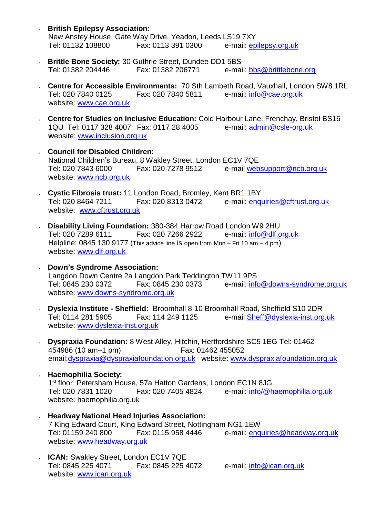- **British Epilepsy Association:** New Anstey House, Gate Way Drive, Yeadon, Leeds LS19 7XY<br>Tel: 01132 108800 Fax: 0113 391 0300 e-mail: ep e-mail: epilepsy.org.uk
- **Brittle Bone Society:** 30 Guthrie Street, Dundee DD1 5BS Tel: 01382 204446 Fax: 01382 206771 e-mail: **bbs@brittlebone.org**
- **Centre for Accessible Environments:** 70 Sth Lambeth Road, Vauxhall, London SW8 1RL Tel: 020 7840 0125 Fax: 020 7840 5811 e-mail: [info@cae.org.uk](mailto:info@cae.org.uk) website: [www.cae.org.uk](http://www.cae.org.uk/)
- **Centre for Studies on Inclusive Education:** Cold Harbour Lane, Frenchay, Bristol BS16<br>1QU Tel: 0117 328 4007 Fax: 0117 28 4005 e-mail: admin@csle-org.uk 1QU Tel: 0117 328 4007 Fax: 0117 28 4005 **w**ebsite: [www.inclusion.org.uk](http://www.inclusion.org.uk/)
- **Council for Disabled Children:** National Children's Bureau, 8 Wakley Street, London EC1V 7QE Tel: 020 7843 6000 Fax: 020 7278 9512 e-mail [websupport@ncb.org.uk](mailto:websupport@ncb.org.uk) website: [www.ncb.org.uk](http://www.ncb.org.uk/)
- **Cystic Fibrosis trust:** 11 London Road, Bromley, Kent BR1 1BY Tel: 020 8464 7211 Fax: 020 8313 0472 e-mail: [enquiries@cftrust.org.uk](mailto:enquiries@cftrust.org.uk) website: [www.cftrust.org.uk](http://www.cftrust.org.uk/)
- **Disability Living Foundation:** 380-384 Harrow Road London W9 2HU Tel: 020 7289 6111 Fax: 020 7266 2922 e-mail: [info@dlf.org.uk](mailto:info@dlf.org.uk) Helpline: 0845 130 9177 (This advice line is open from Mon – Fri 10 am – 4 pm) website: [www.dlf.org.uk](http://www.dlf.org.uk/)
- **Down's Syndrome Association:** Langdon Down Centre 2a Langdon Park Teddington TW11 9PS Tel: 0845 230 0372 Fax: 0845 230 0373 e-mail: [info@downs-syndrome.org.uk](mailto:info@downs-syndrome.org.uk) website: [www.downs-syndrome.org.uk](http://www.downs-syndrome.org.uk/)
- **Dyslexia Institute - Sheffield:** Broomhall 8-10 Broomhall Road, Sheffield S10 2DR Tel: 0114 281 5905 Fax: 114 249 1125 e-mail [Sheff@dyslexia-inst.org.uk](mailto:Sheff@dyslexia-inst.org.uk) website: [www.dyslexia-inst.org.uk](http://www.dyslexia-inst.org.uk/)
- **Dyspraxia Foundation:** 8 West Alley, Hitchin, Hertfordshire SC5 1EG Tel: 01462  $\mathbf{v}$ 454986 (10 am–1 pm) Fax: 01462 45505[2](mailto:dyspraxia@dyspraxiafoundation.org.uk) [email:dyspraxia@dyspraxiafoundation.org.uk](mailto:dyspraxia@dyspraxiafoundation.org.uk) website: [www.dyspraxiafoundation.org.uk](http://www.dyspraxiafoundation.org.uk/)
- **Haemophilia Society:** 1 st floor Petersham House, 57a Hatton Gardens, London EC1N 8JG Tel: 020 7831 1020 Fax: 020 7405 4824 e-mail: [info/@haemophilla.org.uk](mailto:info/@haemophilla.org.uk) website: haemophilia.org.uk
- **Headway National Head Injuries Association:** 7 King Edward Court, King Edward Street, Nottingham NG1 1EW Tel: 01159 240 800 Fax: 0115 958 4446 e-mail: [enquiries@headway.org.uk](mailto:enquiries@headway.org.uk) website: [www.headway.org.uk](http://www.headway.org.uk/)
- **ICAN:** Swakley Street, London EC1V 7QE Tel: 0845 225 4071 Fax: 0845 225 4072 e-mail: [info@ican.org.uk](mailto:info@ican.org.uk) website: [www.ican.org.uk](http://www.ican.org.uk/)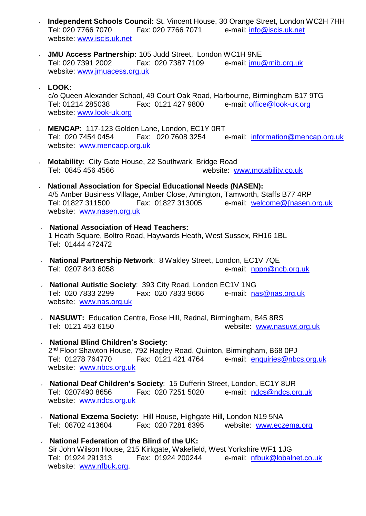- **Independent Schools Council:** St. Vincent House, 30 Orange Street, London WC2H 7HH Tel: 020 7766 7070 Fax: 020 7766 7071 e-mail: [info@iscis.uk.net](mailto:info@iscis.uk.net) website: [www.iscis.uk.net](http://www.iscis.uk.net/)
- **JMU Access Partnership:** 105 Judd Street, London WC1H 9NE Tel: 020 7391 2002 Fax: 020 7387 7109 website: [www.jmuacess.org.uk](http://www.jmuacess.org.uk/)

### **LOOK:**  $\sqrt{2}$

c/o Queen Alexander School, 49 Court Oak Road, Harbourne, Birmingham B17 9TG Tel: 01214 285038 Fax: 0121 427 9800 e-mail: [office@look-uk.org](mailto:office@look-uk.org) website: [www.look-uk.org](http://www.look-uk.org/)

- **MENCAP:** 117-123 Golden Lane, London, EC1Y 0RT<br>Tel: 020 7454 0454 Fax: 020 7608 3254 6 Tel: 020 7454 0454 Fax: 020 7608 3254 e-mail: [information@mencap.org.uk](mailto:information@mencap.org.uk) website: [www.mencaop.org.uk](http://www.mencaop.org.uk/)
- **Motability:** City Gate House, 22 Southwark, Bridge Road Tel: 0845 456 4566 website: [www.motability.co.uk](http://www.motability.co.uk/)
- **National Association for Special Educational Needs (NASEN):** 4/5 Amber Business Village, Amber Close, Amington, Tamworth, Staffs B77 4RP Tel: 01827 311500 Fax: 01827 313005 e-mail: welcome@{nasen.org.uk website: [www.nasen.org.uk](http://www.nasen.org.uk/)
- **National Association of Head Teachers:** 1 Heath Square, Boltro Road, Haywards Heath, West Sussex, RH16 1BL Tel: 01444 472472
- **National Partnership Network**: 8 Wakley Street, London, EC1V 7QE Tel: 0207 843 6058 e-mail: [nppn@ncb.org.uk](mailto:nppn@ncb.org.uk)
- **National Autistic Society**: 393 City Road, London EC1V 1NG Tel: 020 7833 2299 Fax: 020 7833 9666 e-mail: [nas@nas.org.uk](mailto:nas@nas.org.uk) website: [www.nas.org.uk](http://www.nas.org.uk/)
- **NASUWT:** Education Centre, Rose Hill, Rednal, Birmingham, B45 8RS Tel: 0121 453 6150 website: [www.nasuwt.org.uk](http://www.nasuwt.org.uk/)
- **National Blind Children's Society:** 2<sup>nd</sup> Floor Shawton House, 792 Hagley Road, Quinton, Birmingham, B68 0PJ Tel: 01278 764770 Fax: 0121 421 4764 e-mail: [enquiries@nbcs.org.uk](mailto:enquiries@nbcs.org.uk) website: [www.nbcs.org.uk](http://www.nbcs.org.uk/)
- **National Deaf Children's Society**: 15 Dufferin Street, London, EC1Y 8UR Tel: 0207490 8656 Fax: 020 7251 5020 e-mail: [ndcs@ndcs.org.uk](mailto:ndcs@ndcs.org.uk) website: [www.ndcs.org.uk](http://www.ndcs.org.uk/)
- **National Exzema Society:** Hill House, Highgate Hill, London N19 5NA Tel: 08702 413604 Fax: 020 7281 6395 website: [www.eczema.org](http://www.eczema.org/)
- **National Federation of the Blind of the UK:** Sir John Wilson House, 215 Kirkgate, Wakefield, West Yorkshire WF1 1JG Tel: 01924 291313 Fax: 01924 200244 e-mail: [nfbuk@lobalnet.co.uk](mailto:nfbuk@lobalnet.co.uk) website: [www.nfbuk.org.](http://www.nfbuk.org/)